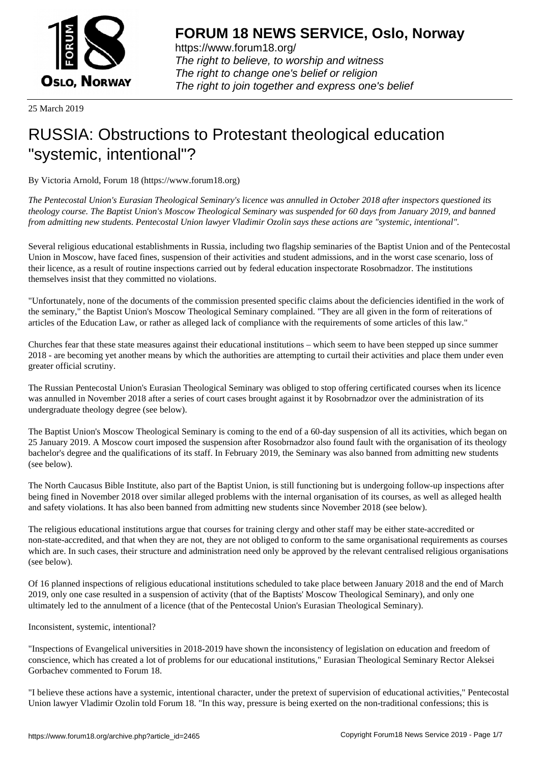

https://www.forum18.org/ The right to believe, to worship and witness The right to change one's belief or religion [The right to join together a](https://www.forum18.org/)nd express one's belief

25 March 2019

## [RUSSIA: Obstru](https://www.forum18.org)ctions to Protestant theological education "systemic, intentional"?

By Victoria Arnold, Forum 18 (https://www.forum18.org)

*The Pentecostal Union's Eurasian Theological Seminary's licence was annulled in October 2018 after inspectors questioned its theology course. The Baptist Union's Moscow Theological Seminary was suspended for 60 days from January 2019, and banned from admitting new students. Pentecostal Union lawyer Vladimir Ozolin says these actions are "systemic, intentional".*

Several religious educational establishments in Russia, including two flagship seminaries of the Baptist Union and of the Pentecostal Union in Moscow, have faced fines, suspension of their activities and student admissions, and in the worst case scenario, loss of their licence, as a result of routine inspections carried out by federal education inspectorate Rosobrnadzor. The institutions themselves insist that they committed no violations.

"Unfortunately, none of the documents of the commission presented specific claims about the deficiencies identified in the work of the seminary," the Baptist Union's Moscow Theological Seminary complained. "They are all given in the form of reiterations of articles of the Education Law, or rather as alleged lack of compliance with the requirements of some articles of this law."

Churches fear that these state measures against their educational institutions – which seem to have been stepped up since summer 2018 - are becoming yet another means by which the authorities are attempting to curtail their activities and place them under even greater official scrutiny.

The Russian Pentecostal Union's Eurasian Theological Seminary was obliged to stop offering certificated courses when its licence was annulled in November 2018 after a series of court cases brought against it by Rosobrnadzor over the administration of its undergraduate theology degree (see below).

The Baptist Union's Moscow Theological Seminary is coming to the end of a 60-day suspension of all its activities, which began on 25 January 2019. A Moscow court imposed the suspension after Rosobrnadzor also found fault with the organisation of its theology bachelor's degree and the qualifications of its staff. In February 2019, the Seminary was also banned from admitting new students (see below).

The North Caucasus Bible Institute, also part of the Baptist Union, is still functioning but is undergoing follow-up inspections after being fined in November 2018 over similar alleged problems with the internal organisation of its courses, as well as alleged health and safety violations. It has also been banned from admitting new students since November 2018 (see below).

The religious educational institutions argue that courses for training clergy and other staff may be either state-accredited or non-state-accredited, and that when they are not, they are not obliged to conform to the same organisational requirements as courses which are. In such cases, their structure and administration need only be approved by the relevant centralised religious organisations (see below).

Of 16 planned inspections of religious educational institutions scheduled to take place between January 2018 and the end of March 2019, only one case resulted in a suspension of activity (that of the Baptists' Moscow Theological Seminary), and only one ultimately led to the annulment of a licence (that of the Pentecostal Union's Eurasian Theological Seminary).

Inconsistent, systemic, intentional?

"Inspections of Evangelical universities in 2018-2019 have shown the inconsistency of legislation on education and freedom of conscience, which has created a lot of problems for our educational institutions," Eurasian Theological Seminary Rector Aleksei Gorbachev commented to Forum 18.

"I believe these actions have a systemic, intentional character, under the pretext of supervision of educational activities," Pentecostal Union lawyer Vladimir Ozolin told Forum 18. "In this way, pressure is being exerted on the non-traditional confessions; this is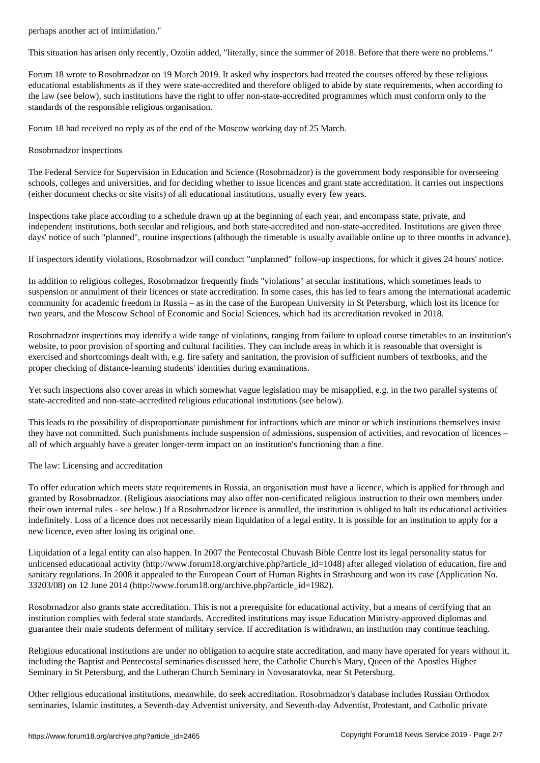This situation has arisen only recently, Ozolin added, "literally, since the summer of 2018. Before that there were no problems."

Forum 18 wrote to Rosobrnadzor on 19 March 2019. It asked why inspectors had treated the courses offered by these religious educational establishments as if they were state-accredited and therefore obliged to abide by state requirements, when according to the law (see below), such institutions have the right to offer non-state-accredited programmes which must conform only to the standards of the responsible religious organisation.

Forum 18 had received no reply as of the end of the Moscow working day of 25 March.

## Rosobrnadzor inspections

The Federal Service for Supervision in Education and Science (Rosobrnadzor) is the government body responsible for overseeing schools, colleges and universities, and for deciding whether to issue licences and grant state accreditation. It carries out inspections (either document checks or site visits) of all educational institutions, usually every few years.

Inspections take place according to a schedule drawn up at the beginning of each year, and encompass state, private, and independent institutions, both secular and religious, and both state-accredited and non-state-accredited. Institutions are given three days' notice of such "planned", routine inspections (although the timetable is usually available online up to three months in advance).

If inspectors identify violations, Rosobrnadzor will conduct "unplanned" follow-up inspections, for which it gives 24 hours' notice.

In addition to religious colleges, Rosobrnadzor frequently finds "violations" at secular institutions, which sometimes leads to suspension or annulment of their licences or state accreditation. In some cases, this has led to fears among the international academic community for academic freedom in Russia – as in the case of the European University in St Petersburg, which lost its licence for two years, and the Moscow School of Economic and Social Sciences, which had its accreditation revoked in 2018.

Rosobrnadzor inspections may identify a wide range of violations, ranging from failure to upload course timetables to an institution's website, to poor provision of sporting and cultural facilities. They can include areas in which it is reasonable that oversight is exercised and shortcomings dealt with, e.g. fire safety and sanitation, the provision of sufficient numbers of textbooks, and the proper checking of distance-learning students' identities during examinations.

Yet such inspections also cover areas in which somewhat vague legislation may be misapplied, e.g. in the two parallel systems of state-accredited and non-state-accredited religious educational institutions (see below).

This leads to the possibility of disproportionate punishment for infractions which are minor or which institutions themselves insist they have not committed. Such punishments include suspension of admissions, suspension of activities, and revocation of licences – all of which arguably have a greater longer-term impact on an institution's functioning than a fine.

## The law: Licensing and accreditation

To offer education which meets state requirements in Russia, an organisation must have a licence, which is applied for through and granted by Rosobrnadzor. (Religious associations may also offer non-certificated religious instruction to their own members under their own internal rules - see below.) If a Rosobrnadzor licence is annulled, the institution is obliged to halt its educational activities indefinitely. Loss of a licence does not necessarily mean liquidation of a legal entity. It is possible for an institution to apply for a new licence, even after losing its original one.

Liquidation of a legal entity can also happen. In 2007 the Pentecostal Chuvash Bible Centre lost its legal personality status for unlicensed educational activity (http://www.forum18.org/archive.php?article\_id=1048) after alleged violation of education, fire and sanitary regulations. In 2008 it appealed to the European Court of Human Rights in Strasbourg and won its case (Application No.  $33203/08$  on 12 June 2014 (http://www.forum18.org/archive.php?article\_id=1982).

Rosobrnadzor also grants state accreditation. This is not a prerequisite for educational activity, but a means of certifying that an institution complies with federal state standards. Accredited institutions may issue Education Ministry-approved diplomas and guarantee their male students deferment of military service. If accreditation is withdrawn, an institution may continue teaching.

Religious educational institutions are under no obligation to acquire state accreditation, and many have operated for years without it, including the Baptist and Pentecostal seminaries discussed here, the Catholic Church's Mary, Queen of the Apostles Higher Seminary in St Petersburg, and the Lutheran Church Seminary in Novosaratovka, near St Petersburg.

Other religious educational institutions, meanwhile, do seek accreditation. Rosobrnadzor's database includes Russian Orthodox seminaries, Islamic institutes, a Seventh-day Adventist university, and Seventh-day Adventist, Protestant, and Catholic private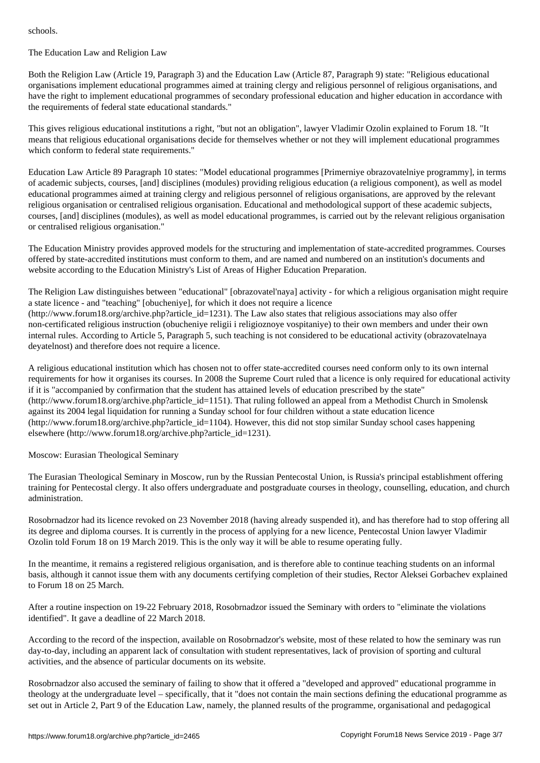## The Education Law and Religion Law

Both the Religion Law (Article 19, Paragraph 3) and the Education Law (Article 87, Paragraph 9) state: "Religious educational organisations implement educational programmes aimed at training clergy and religious personnel of religious organisations, and have the right to implement educational programmes of secondary professional education and higher education in accordance with the requirements of federal state educational standards."

This gives religious educational institutions a right, "but not an obligation", lawyer Vladimir Ozolin explained to Forum 18. "It means that religious educational organisations decide for themselves whether or not they will implement educational programmes which conform to federal state requirements."

Education Law Article 89 Paragraph 10 states: "Model educational programmes [Primerniye obrazovatelniye programmy], in terms of academic subjects, courses, [and] disciplines (modules) providing religious education (a religious component), as well as model educational programmes aimed at training clergy and religious personnel of religious organisations, are approved by the relevant religious organisation or centralised religious organisation. Educational and methodological support of these academic subjects, courses, [and] disciplines (modules), as well as model educational programmes, is carried out by the relevant religious organisation or centralised religious organisation."

The Education Ministry provides approved models for the structuring and implementation of state-accredited programmes. Courses offered by state-accredited institutions must conform to them, and are named and numbered on an institution's documents and website according to the Education Ministry's List of Areas of Higher Education Preparation.

The Religion Law distinguishes between "educational" [obrazovatel'naya] activity - for which a religious organisation might require a state licence - and "teaching" [obucheniye], for which it does not require a licence  $(\text{http://www.forum18.org/architecture.php?article id=1231})$ . The Law also states that religious associations may also offer non-certificated religious instruction (obucheniye religii i religioznoye vospitaniye) to their own members and under their own internal rules. According to Article 5, Paragraph 5, such teaching is not considered to be educational activity (obrazovatelnaya deyatelnost) and therefore does not require a licence.

A religious educational institution which has chosen not to offer state-accredited courses need conform only to its own internal requirements for how it organises its courses. In 2008 the Supreme Court ruled that a licence is only required for educational activity if it is "accompanied by confirmation that the student has attained levels of education prescribed by the state" (http://www.forum18.org/archive.php?article\_id=1151). That ruling followed an appeal from a Methodist Church in Smolensk against its 2004 legal liquidation for running a Sunday school for four children without a state education licence (http://www.forum18.org/archive.php?article\_id=1104). However, this did not stop similar Sunday school cases happening elsewhere (http://www.forum18.org/archive.php?article\_id=1231).

Moscow: Eurasian Theological Seminary

The Eurasian Theological Seminary in Moscow, run by the Russian Pentecostal Union, is Russia's principal establishment offering training for Pentecostal clergy. It also offers undergraduate and postgraduate courses in theology, counselling, education, and church administration.

Rosobrnadzor had its licence revoked on 23 November 2018 (having already suspended it), and has therefore had to stop offering all its degree and diploma courses. It is currently in the process of applying for a new licence, Pentecostal Union lawyer Vladimir Ozolin told Forum 18 on 19 March 2019. This is the only way it will be able to resume operating fully.

In the meantime, it remains a registered religious organisation, and is therefore able to continue teaching students on an informal basis, although it cannot issue them with any documents certifying completion of their studies, Rector Aleksei Gorbachev explained to Forum 18 on 25 March.

After a routine inspection on 19-22 February 2018, Rosobrnadzor issued the Seminary with orders to "eliminate the violations identified". It gave a deadline of 22 March 2018.

According to the record of the inspection, available on Rosobrnadzor's website, most of these related to how the seminary was run day-to-day, including an apparent lack of consultation with student representatives, lack of provision of sporting and cultural activities, and the absence of particular documents on its website.

Rosobrnadzor also accused the seminary of failing to show that it offered a "developed and approved" educational programme in theology at the undergraduate level – specifically, that it "does not contain the main sections defining the educational programme as set out in Article 2, Part 9 of the Education Law, namely, the planned results of the programme, organisational and pedagogical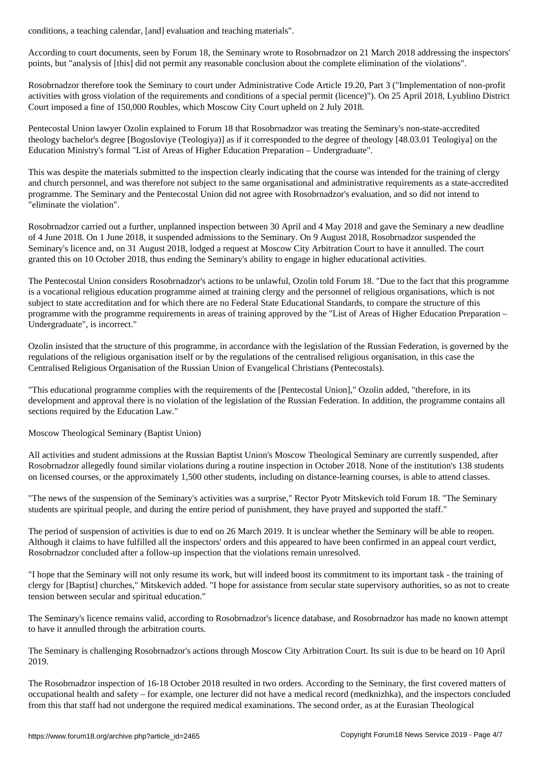According to court documents, seen by Forum 18, the Seminary wrote to Rosobrnadzor on 21 March 2018 addressing the inspectors' points, but "analysis of [this] did not permit any reasonable conclusion about the complete elimination of the violations".

Rosobrnadzor therefore took the Seminary to court under Administrative Code Article 19.20, Part 3 ("Implementation of non-profit activities with gross violation of the requirements and conditions of a special permit (licence)"). On 25 April 2018, Lyublino District Court imposed a fine of 150,000 Roubles, which Moscow City Court upheld on 2 July 2018.

Pentecostal Union lawyer Ozolin explained to Forum 18 that Rosobrnadzor was treating the Seminary's non-state-accredited theology bachelor's degree [Bogosloviye (Teologiya)] as if it corresponded to the degree of theology [48.03.01 Teologiya] on the Education Ministry's formal "List of Areas of Higher Education Preparation – Undergraduate".

This was despite the materials submitted to the inspection clearly indicating that the course was intended for the training of clergy and church personnel, and was therefore not subject to the same organisational and administrative requirements as a state-accredited programme. The Seminary and the Pentecostal Union did not agree with Rosobrnadzor's evaluation, and so did not intend to "eliminate the violation".

Rosobrnadzor carried out a further, unplanned inspection between 30 April and 4 May 2018 and gave the Seminary a new deadline of 4 June 2018. On 1 June 2018, it suspended admissions to the Seminary. On 9 August 2018, Rosobrnadzor suspended the Seminary's licence and, on 31 August 2018, lodged a request at Moscow City Arbitration Court to have it annulled. The court granted this on 10 October 2018, thus ending the Seminary's ability to engage in higher educational activities.

The Pentecostal Union considers Rosobrnadzor's actions to be unlawful, Ozolin told Forum 18. "Due to the fact that this programme is a vocational religious education programme aimed at training clergy and the personnel of religious organisations, which is not subject to state accreditation and for which there are no Federal State Educational Standards, to compare the structure of this programme with the programme requirements in areas of training approved by the "List of Areas of Higher Education Preparation – Undergraduate", is incorrect."

Ozolin insisted that the structure of this programme, in accordance with the legislation of the Russian Federation, is governed by the regulations of the religious organisation itself or by the regulations of the centralised religious organisation, in this case the Centralised Religious Organisation of the Russian Union of Evangelical Christians (Pentecostals).

"This educational programme complies with the requirements of the [Pentecostal Union]," Ozolin added, "therefore, in its development and approval there is no violation of the legislation of the Russian Federation. In addition, the programme contains all sections required by the Education Law."

Moscow Theological Seminary (Baptist Union)

All activities and student admissions at the Russian Baptist Union's Moscow Theological Seminary are currently suspended, after Rosobrnadzor allegedly found similar violations during a routine inspection in October 2018. None of the institution's 138 students on licensed courses, or the approximately 1,500 other students, including on distance-learning courses, is able to attend classes.

"The news of the suspension of the Seminary's activities was a surprise," Rector Pyotr Mitskevich told Forum 18. "The Seminary students are spiritual people, and during the entire period of punishment, they have prayed and supported the staff."

The period of suspension of activities is due to end on 26 March 2019. It is unclear whether the Seminary will be able to reopen. Although it claims to have fulfilled all the inspectors' orders and this appeared to have been confirmed in an appeal court verdict, Rosobrnadzor concluded after a follow-up inspection that the violations remain unresolved.

"I hope that the Seminary will not only resume its work, but will indeed boost its commitment to its important task - the training of clergy for [Baptist] churches," Mitskevich added. "I hope for assistance from secular state supervisory authorities, so as not to create tension between secular and spiritual education."

The Seminary's licence remains valid, according to Rosobrnadzor's licence database, and Rosobrnadzor has made no known attempt to have it annulled through the arbitration courts.

The Seminary is challenging Rosobrnadzor's actions through Moscow City Arbitration Court. Its suit is due to be heard on 10 April 2019.

The Rosobrnadzor inspection of 16-18 October 2018 resulted in two orders. According to the Seminary, the first covered matters of occupational health and safety – for example, one lecturer did not have a medical record (medknizhka), and the inspectors concluded from this that staff had not undergone the required medical examinations. The second order, as at the Eurasian Theological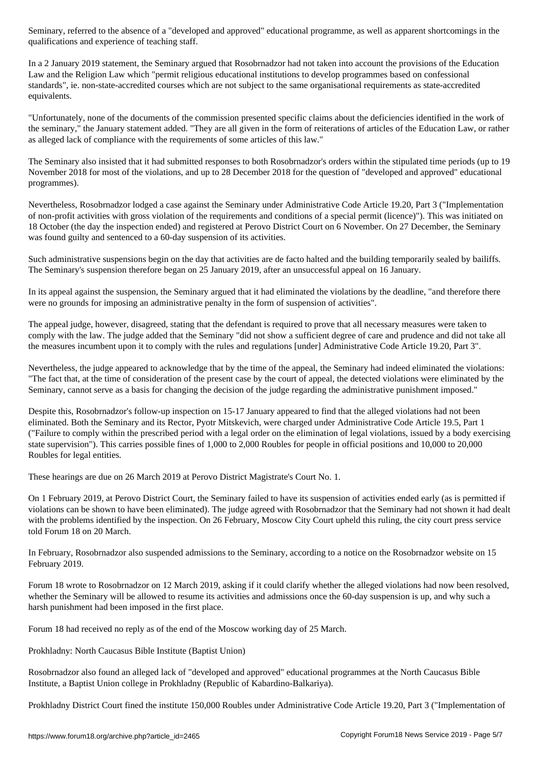qualifications and experience of teaching stations and experience of teaching stations of teaching stations of

In a 2 January 2019 statement, the Seminary argued that Rosobrnadzor had not taken into account the provisions of the Education Law and the Religion Law which "permit religious educational institutions to develop programmes based on confessional standards", ie. non-state-accredited courses which are not subject to the same organisational requirements as state-accredited equivalents.

"Unfortunately, none of the documents of the commission presented specific claims about the deficiencies identified in the work of the seminary," the January statement added. "They are all given in the form of reiterations of articles of the Education Law, or rather as alleged lack of compliance with the requirements of some articles of this law."

The Seminary also insisted that it had submitted responses to both Rosobrnadzor's orders within the stipulated time periods (up to 19 November 2018 for most of the violations, and up to 28 December 2018 for the question of "developed and approved" educational programmes).

Nevertheless, Rosobrnadzor lodged a case against the Seminary under Administrative Code Article 19.20, Part 3 ("Implementation of non-profit activities with gross violation of the requirements and conditions of a special permit (licence)"). This was initiated on 18 October (the day the inspection ended) and registered at Perovo District Court on 6 November. On 27 December, the Seminary was found guilty and sentenced to a 60-day suspension of its activities.

Such administrative suspensions begin on the day that activities are de facto halted and the building temporarily sealed by bailiffs. The Seminary's suspension therefore began on 25 January 2019, after an unsuccessful appeal on 16 January.

In its appeal against the suspension, the Seminary argued that it had eliminated the violations by the deadline, "and therefore there were no grounds for imposing an administrative penalty in the form of suspension of activities".

The appeal judge, however, disagreed, stating that the defendant is required to prove that all necessary measures were taken to comply with the law. The judge added that the Seminary "did not show a sufficient degree of care and prudence and did not take all the measures incumbent upon it to comply with the rules and regulations [under] Administrative Code Article 19.20, Part 3".

Nevertheless, the judge appeared to acknowledge that by the time of the appeal, the Seminary had indeed eliminated the violations: "The fact that, at the time of consideration of the present case by the court of appeal, the detected violations were eliminated by the Seminary, cannot serve as a basis for changing the decision of the judge regarding the administrative punishment imposed."

Despite this, Rosobrnadzor's follow-up inspection on 15-17 January appeared to find that the alleged violations had not been eliminated. Both the Seminary and its Rector, Pyotr Mitskevich, were charged under Administrative Code Article 19.5, Part 1 ("Failure to comply within the prescribed period with a legal order on the elimination of legal violations, issued by a body exercising state supervision"). This carries possible fines of 1,000 to 2,000 Roubles for people in official positions and 10,000 to 20,000 Roubles for legal entities.

These hearings are due on 26 March 2019 at Perovo District Magistrate's Court No. 1.

On 1 February 2019, at Perovo District Court, the Seminary failed to have its suspension of activities ended early (as is permitted if violations can be shown to have been eliminated). The judge agreed with Rosobrnadzor that the Seminary had not shown it had dealt with the problems identified by the inspection. On 26 February, Moscow City Court upheld this ruling, the city court press service told Forum 18 on 20 March.

In February, Rosobrnadzor also suspended admissions to the Seminary, according to a notice on the Rosobrnadzor website on 15 February 2019.

Forum 18 wrote to Rosobrnadzor on 12 March 2019, asking if it could clarify whether the alleged violations had now been resolved, whether the Seminary will be allowed to resume its activities and admissions once the 60-day suspension is up, and why such a harsh punishment had been imposed in the first place.

Forum 18 had received no reply as of the end of the Moscow working day of 25 March.

Prokhladny: North Caucasus Bible Institute (Baptist Union)

Rosobrnadzor also found an alleged lack of "developed and approved" educational programmes at the North Caucasus Bible Institute, a Baptist Union college in Prokhladny (Republic of Kabardino-Balkariya).

Prokhladny District Court fined the institute 150,000 Roubles under Administrative Code Article 19.20, Part 3 ("Implementation of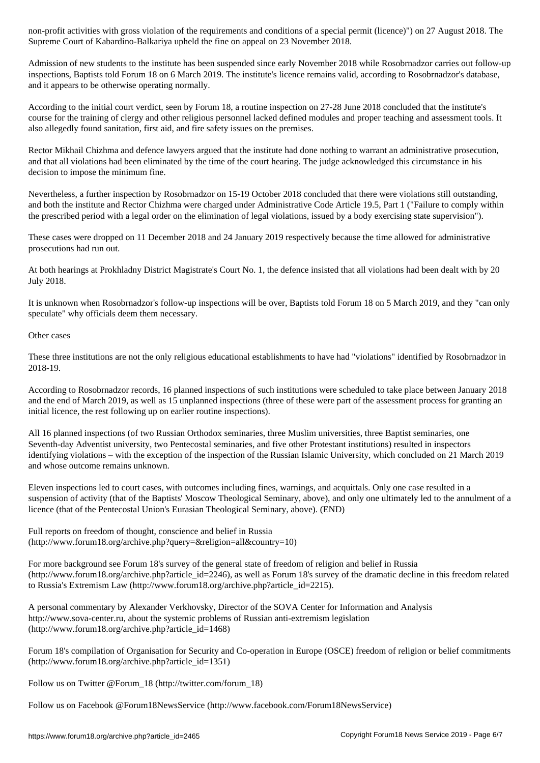Supreme Court of Kabardino-Balkariya upheld the fine on appeal on 23 November 2018.

Admission of new students to the institute has been suspended since early November 2018 while Rosobrnadzor carries out follow-up inspections, Baptists told Forum 18 on 6 March 2019. The institute's licence remains valid, according to Rosobrnadzor's database, and it appears to be otherwise operating normally.

According to the initial court verdict, seen by Forum 18, a routine inspection on 27-28 June 2018 concluded that the institute's course for the training of clergy and other religious personnel lacked defined modules and proper teaching and assessment tools. It also allegedly found sanitation, first aid, and fire safety issues on the premises.

Rector Mikhail Chizhma and defence lawyers argued that the institute had done nothing to warrant an administrative prosecution, and that all violations had been eliminated by the time of the court hearing. The judge acknowledged this circumstance in his decision to impose the minimum fine.

Nevertheless, a further inspection by Rosobrnadzor on 15-19 October 2018 concluded that there were violations still outstanding, and both the institute and Rector Chizhma were charged under Administrative Code Article 19.5, Part 1 ("Failure to comply within the prescribed period with a legal order on the elimination of legal violations, issued by a body exercising state supervision").

These cases were dropped on 11 December 2018 and 24 January 2019 respectively because the time allowed for administrative prosecutions had run out.

At both hearings at Prokhladny District Magistrate's Court No. 1, the defence insisted that all violations had been dealt with by 20 July 2018.

It is unknown when Rosobrnadzor's follow-up inspections will be over, Baptists told Forum 18 on 5 March 2019, and they "can only speculate" why officials deem them necessary.

Other cases

These three institutions are not the only religious educational establishments to have had "violations" identified by Rosobrnadzor in 2018-19.

According to Rosobrnadzor records, 16 planned inspections of such institutions were scheduled to take place between January 2018 and the end of March 2019, as well as 15 unplanned inspections (three of these were part of the assessment process for granting an initial licence, the rest following up on earlier routine inspections).

All 16 planned inspections (of two Russian Orthodox seminaries, three Muslim universities, three Baptist seminaries, one Seventh-day Adventist university, two Pentecostal seminaries, and five other Protestant institutions) resulted in inspectors identifying violations – with the exception of the inspection of the Russian Islamic University, which concluded on 21 March 2019 and whose outcome remains unknown.

Eleven inspections led to court cases, with outcomes including fines, warnings, and acquittals. Only one case resulted in a suspension of activity (that of the Baptists' Moscow Theological Seminary, above), and only one ultimately led to the annulment of a licence (that of the Pentecostal Union's Eurasian Theological Seminary, above). (END)

Full reports on freedom of thought, conscience and belief in Russia (http://www.forum18.org/archive.php?query=&religion=all&country=10)

For more background see Forum 18's survey of the general state of freedom of religion and belief in Russia (http://www.forum18.org/archive.php?article\_id=2246), as well as Forum 18's survey of the dramatic decline in this freedom related to Russia's Extremism Law (http://www.forum18.org/archive.php?article\_id=2215).

A personal commentary by Alexander Verkhovsky, Director of the SOVA Center for Information and Analysis http://www.sova-center.ru, about the systemic problems of Russian anti-extremism legislation (http://www.forum18.org/archive.php?article\_id=1468)

Forum 18's compilation of Organisation for Security and Co-operation in Europe (OSCE) freedom of religion or belief commitments (http://www.forum18.org/archive.php?article\_id=1351)

Follow us on Twitter @Forum\_18 (http://twitter.com/forum\_18)

Follow us on Facebook @Forum18NewsService (http://www.facebook.com/Forum18NewsService)